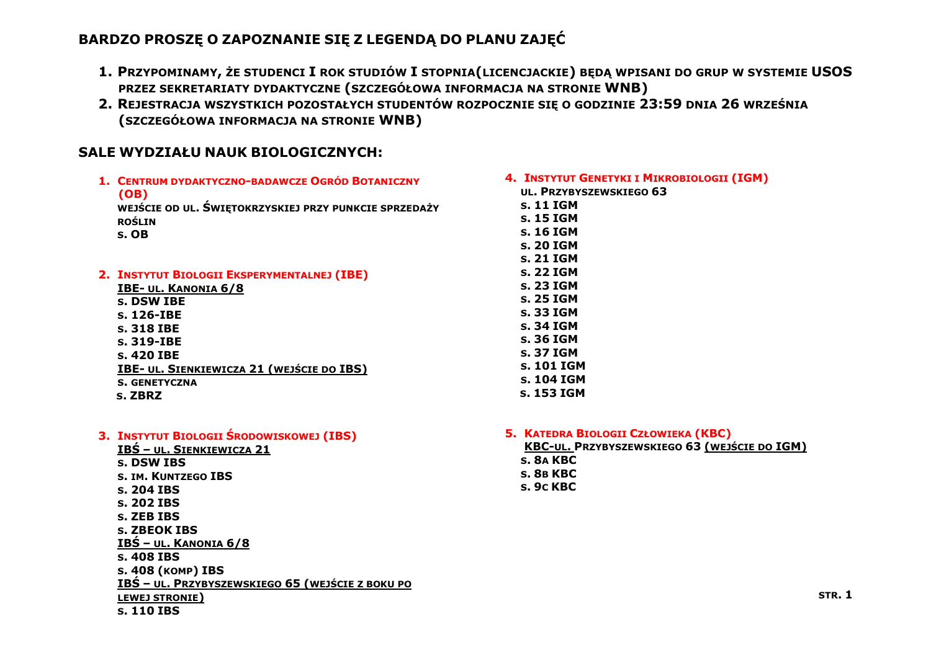## **BARDZO PROSZĘ O ZAPOZNANIE SIĘ Z LEGENDĄ DO PLANU ZAJĘĆ**

- **1. PRZYPOMINAMY, ŻE STUDENCI I ROK STUDIÓW I STOPNIA(LICENCJACKIE) BĘDĄ WPISANI DO GRUP W SYSTEMIE USOS PRZEZ SEKRETARIATY DYDAKTYCZNE (SZCZEGÓŁOWA INFORMACJA NA STRONIE WNB)**
- **2. REJESTRACJA WSZYSTKICH POZOSTAŁYCH STUDENTÓW ROZPOCZNIE SIĘ O GODZINIE 23:59 DNIA 26 WRZEŚNIA (SZCZEGÓŁOWA INFORMACJA NA STRONIE WNB)**

## **SALE WYDZIAŁU NAUK BIOLOGICZNYCH:**

| 1. CENTRUM DYDAKTYCZNO-BADAWCZE OGRÓD BOTANICZNY      | 4. INSTYTUT GENETYKI I MIKROBIOLOGII (IGM) |
|-------------------------------------------------------|--------------------------------------------|
| (OB)                                                  | UL. PRZYBYSZEWSKIEGO 63                    |
| WEJŚCIE OD UL. ŚWIĘTOKRZYSKIEJ PRZY PUNKCIE SPRZEDAŻY | s. 11 IGM                                  |
| <b>ROŚLIN</b>                                         | s. 15 IGM                                  |
| s. OB                                                 | s. 16 IGM                                  |
|                                                       | s. 20 IGM                                  |
|                                                       | s. 21 IGM                                  |
| 2. INSTYTUT BIOLOGII EKSPERYMENTALNEJ (IBE)           | s. 22 IGM                                  |
| <b>IBE- UL. KANONIA 6/8</b>                           | s. 23 IGM                                  |
| s. DSW IBE                                            | s. 25 IGM                                  |
| s. 126-IBE                                            | s. 33 IGM                                  |
| s. 318 IBE                                            | s. 34 IGM                                  |
| s. 319-IBE                                            | s. 36 IGM                                  |
| s. 420 IBE                                            | s. 37 IGM                                  |
| <b>IBE- UL. SIENKIEWICZA 21 (WEJŚCIE DO IBS)</b>      | s. 101 IGM                                 |
| <b>S. GENETYCZNA</b>                                  | s. 104 IGM                                 |
| s. ZBRZ                                               | s. 153 IGM                                 |
|                                                       |                                            |

- **3. INSTYTUT BIOLOGII ŚRODOWISKOWEJ (IBS) IBŚ – UL. SIENKIEWICZA 21 S. DSW IBS S. IM. KUNTZEGO IBS S. 204 IBS S. 202 IBS S. ZEB IBS S. ZBEOK IBS IBŚ – UL. KANONIA 6/8 S. 408 IBS S. 408 (KOMP) IBS IBŚ – UL. PRZYBYSZEWSKIEGO 65 (WEJŚCIE Z BOKU PO LEWEJ STRONIE)**
	- **S. 110 IBS**

**5. KATEDRA BIOLOGII CZŁOWIEKA (KBC)**

**KBC-UL. PRZYBYSZEWSKIEGO 63 (WEJŚCIE DO IGM) S. 8A KBC S. 8B KBC S. 9C KBC**